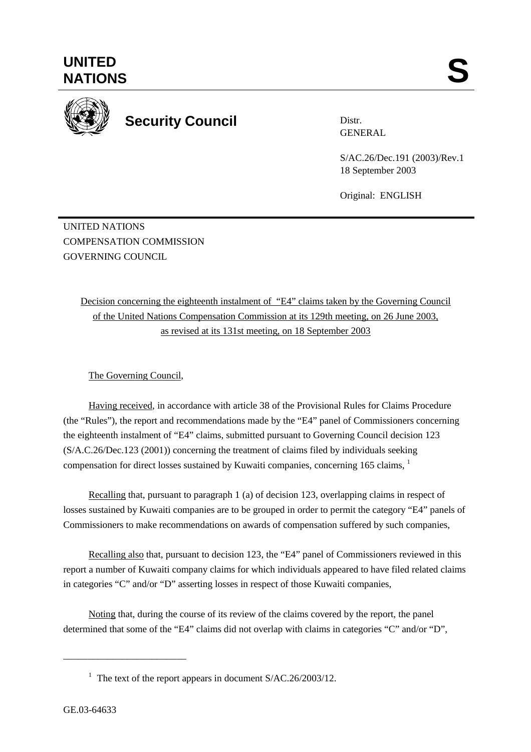

Distr. GENERAL

S/AC.26/Dec.191 (2003)/Rev.1 18 September 2003

Original: ENGLISH

UNITED NATIONS COMPENSATION COMMISSION GOVERNING COUNCIL

> Decision concerning the eighteenth instalment of "E4" claims taken by the Governing Council of the United Nations Compensation Commission at its 129th meeting, on 26 June 2003, as revised at its 131st meeting, on 18 September 2003

## The Governing Council,

Having received, in accordance with article 38 of the Provisional Rules for Claims Procedure (the "Rules"), the report and recommendations made by the "E4" panel of Commissioners concerning the eighteenth instalment of "E4" claims, submitted pursuant to Governing Council decision 123 (S/A.C.26/Dec.123 (2001)) concerning the treatment of claims filed by individuals seeking compensation for direct losses sustained by Kuwaiti companies, concerning 165 claims, <sup>1</sup>

Recalling that, pursuant to paragraph 1 (a) of decision 123, overlapping claims in respect of losses sustained by Kuwaiti companies are to be grouped in order to permit the category "E4" panels of Commissioners to make recommendations on awards of compensation suffered by such companies,

Recalling also that, pursuant to decision 123, the "E4" panel of Commissioners reviewed in this report a number of Kuwaiti company claims for which individuals appeared to have filed related claims in categories "C" and/or "D" asserting losses in respect of those Kuwaiti companies,

Noting that, during the course of its review of the claims covered by the report, the panel determined that some of the "E4" claims did not overlap with claims in categories "C" and/or "D",

\_\_\_\_\_\_\_\_\_\_\_\_\_\_\_\_\_\_\_\_\_\_\_\_\_

<sup>&</sup>lt;sup>1</sup> The text of the report appears in document S/AC.26/2003/12.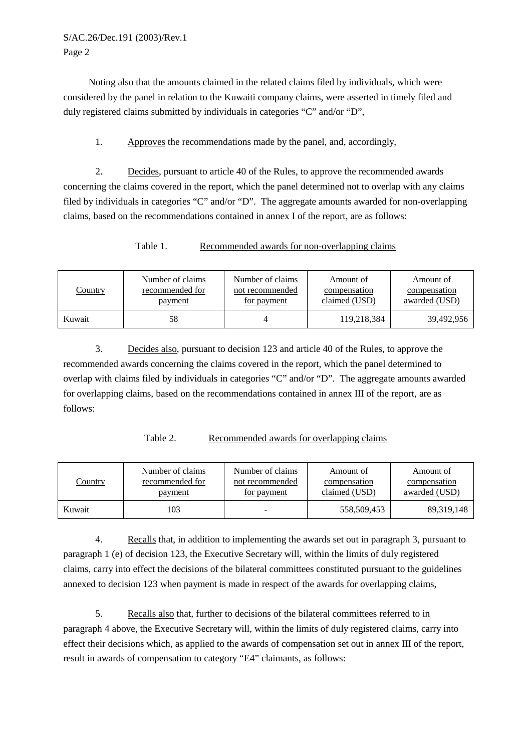Noting also that the amounts claimed in the related claims filed by individuals, which were considered by the panel in relation to the Kuwaiti company claims, were asserted in timely filed and duly registered claims submitted by individuals in categories "C" and/or "D",

1. Approves the recommendations made by the panel, and, accordingly,

2. Decides, pursuant to article 40 of the Rules, to approve the recommended awards concerning the claims covered in the report, which the panel determined not to overlap with any claims filed by individuals in categories "C" and/or "D". The aggregate amounts awarded for non-overlapping claims, based on the recommendations contained in annex I of the report, are as follows:

Table 1. Recommended awards for non-overlapping claims

| <b>Country</b> | Number of claims | Number of claims | Amount of     | Amount of     |
|----------------|------------------|------------------|---------------|---------------|
|                | recommended for  | not recommended  | compensation  | compensation  |
|                | <u>payment</u>   | for payment      | claimed (USD) | awarded (USD) |
| Kuwait         | 58               |                  | 119,218,384   | 39,492,956    |

3. Decides also, pursuant to decision 123 and article 40 of the Rules, to approve the recommended awards concerning the claims covered in the report, which the panel determined to overlap with claims filed by individuals in categories "C" and/or "D". The aggregate amounts awarded for overlapping claims, based on the recommendations contained in annex III of the report, are as follows:

Table 2. Recommended awards for overlapping claims

| <u>Country</u> | Number of claims | Number of claims | Amount of     | Amount of            |
|----------------|------------------|------------------|---------------|----------------------|
|                | recommended for  | not recommended  | compensation  | compensation         |
|                | <u>payment</u>   | for payment      | claimed (USD) | <u>awarded (USD)</u> |
| Kuwait         | 103              | -                | 558,509,453   | 89, 319, 148         |

4. Recalls that, in addition to implementing the awards set out in paragraph 3, pursuant to paragraph 1 (e) of decision 123, the Executive Secretary will, within the limits of duly registered claims, carry into effect the decisions of the bilateral committees constituted pursuant to the guidelines annexed to decision 123 when payment is made in respect of the awards for overlapping claims,

5. Recalls also that, further to decisions of the bilateral committees referred to in paragraph 4 above, the Executive Secretary will, within the limits of duly registered claims, carry into effect their decisions which, as applied to the awards of compensation set out in annex III of the report, result in awards of compensation to category "E4" claimants, as follows: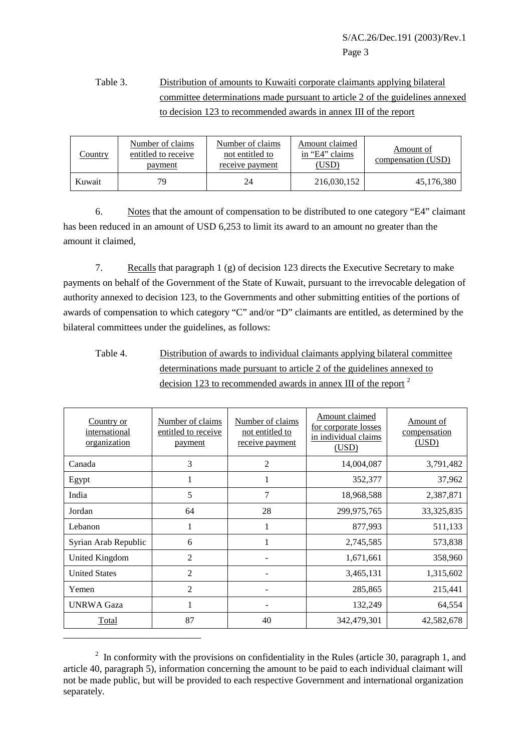## Table 3. Distribution of amounts to Kuwaiti corporate claimants applying bilateral committee determinations made pursuant to article 2 of the guidelines annexed to decision 123 to recommended awards in annex III of the report

| Country | Number of claims<br>entitled to receive<br>payment | Number of claims<br>not entitled to<br>receive payment | Amount claimed<br>in "E4" claims<br>(USD) | Amount of<br><u>compensation</u> (USD) |
|---------|----------------------------------------------------|--------------------------------------------------------|-------------------------------------------|----------------------------------------|
| Kuwait  | 79.                                                | 24                                                     | 216,030,152                               | 45,176,380                             |

6. Notes that the amount of compensation to be distributed to one category "E4" claimant has been reduced in an amount of USD 6,253 to limit its award to an amount no greater than the amount it claimed,

7. Recalls that paragraph 1 (g) of decision 123 directs the Executive Secretary to make payments on behalf of the Government of the State of Kuwait, pursuant to the irrevocable delegation of authority annexed to decision 123, to the Governments and other submitting entities of the portions of awards of compensation to which category "C" and/or "D" claimants are entitled, as determined by the bilateral committees under the guidelines, as follows:

Table 4. Distribution of awards to individual claimants applying bilateral committee determinations made pursuant to article 2 of the guidelines annexed to decision 123 to recommended awards in annex III of the report <sup>2</sup>

| Country or<br>international<br>organization | Number of claims<br>entitled to receive<br>payment | Number of claims<br>not entitled to<br>receive payment | <b>Amount claimed</b><br>for corporate losses<br>in individual claims<br>(USD) | Amount of<br>compensation<br>(USD) |
|---------------------------------------------|----------------------------------------------------|--------------------------------------------------------|--------------------------------------------------------------------------------|------------------------------------|
| Canada                                      | 3                                                  | $\overline{2}$                                         | 14,004,087                                                                     | 3,791,482                          |
| Egypt                                       |                                                    |                                                        | 352,377                                                                        | 37,962                             |
| India                                       | 5                                                  | $\overline{7}$                                         | 18,968,588                                                                     | 2,387,871                          |
| Jordan                                      | 64                                                 | 28                                                     | 299,975,765                                                                    | 33, 325, 835                       |
| Lebanon                                     | 1                                                  |                                                        | 877,993                                                                        | 511,133                            |
| Syrian Arab Republic                        | 6                                                  |                                                        | 2,745,585                                                                      | 573,838                            |
| <b>United Kingdom</b>                       | $\overline{2}$                                     |                                                        | 1,671,661                                                                      | 358,960                            |
| <b>United States</b>                        | $\overline{2}$                                     |                                                        | 3,465,131                                                                      | 1,315,602                          |
| Yemen                                       | $\overline{c}$                                     |                                                        | 285,865                                                                        | 215,441                            |
| <b>UNRWA Gaza</b>                           |                                                    |                                                        | 132,249                                                                        | 64,554                             |
| Total                                       | 87                                                 | 40                                                     | 342,479,301                                                                    | 42,582,678                         |
|                                             |                                                    |                                                        |                                                                                |                                    |

 $2\;\;$  In conformity with the provisions on confidentiality in the Rules (article 30, paragraph 1, and article 40, paragraph 5), information concerning the amount to be paid to each individual claimant will not be made public, but will be provided to each respective Government and international organization separately.